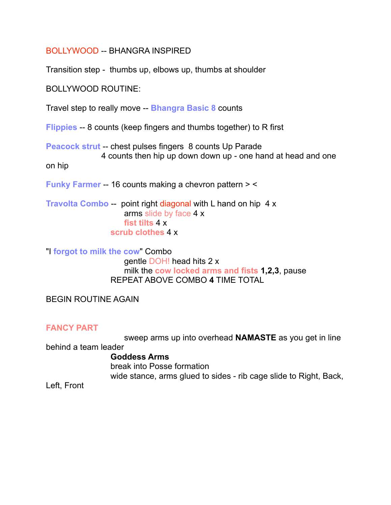BOLLYWOOD -- BHANGRA INSPIRED

Transition step - thumbs up, elbows up, thumbs at shoulder

BOLLYWOOD ROUTINE:

Travel step to really move -- **Bhangra Basic 8** counts

**Flippies** -- 8 counts (keep fingers and thumbs together) to R first

**Peacock strut** -- chest pulses fingers 8 counts Up Parade 4 counts then hip up down down up - one hand at head and one

on hip

**Funky Farmer** -- 16 counts making a chevron pattern > <

**Travolta Combo** -- point right diagonal with L hand on hip 4 x arms slide by face 4 x **fist tilts** 4 x **scrub clothes** 4 x

"I **forgot to milk the cow**" Combo gentle DOH! head hits 2 x milk the **cow locked arms and fists 1,2,3**, pause REPEAT ABOVE COMBO **4** TIME TOTAL

BEGIN ROUTINE AGAIN

## **FANCY PART**

 sweep arms up into overhead **NAMASTE** as you get in line behind a team leader **Goddess Arms** break into Posse formation

wide stance, arms glued to sides - rib cage slide to Right, Back,

Left, Front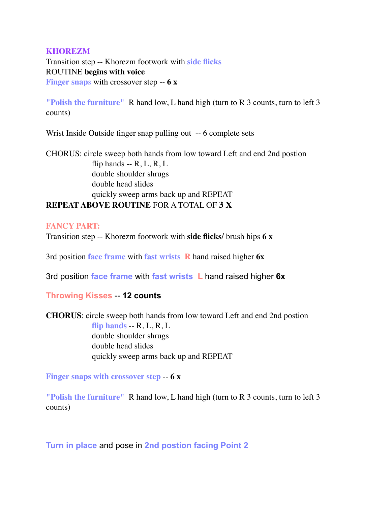## **KHOREZM**

Transition step -- Khorezm footwork with **side flicks** ROUTINE **begins with voice Finger snap**s with crossover step -- **6 x**

**"Polish the furniture"** R hand low, L hand high (turn to R 3 counts, turn to left 3 counts)

Wrist Inside Outside finger snap pulling out -- 6 complete sets

CHORUS: circle sweep both hands from low toward Left and end 2nd postion flip hands  $- R$ , L, R, L double shoulder shrugs double head slides quickly sweep arms back up and REPEAT **REPEAT ABOVE ROUTINE** FOR A TOTAL OF **3 X**

## **FANCY PART:**

Transition step -- Khorezm footwork with **side flicks/** brush hips **6 x**

3rd position **face frame** with **fast wrists R** hand raised higher **6x**

3rd position **face frame** with **fast wrists L** hand raised higher **6x**

**Throwing Kisses** -- **12 counts**

**CHORUS**: circle sweep both hands from low toward Left and end 2nd postion flip hands  $-R, L, R, L$ double shoulder shrugs double head slides quickly sweep arms back up and REPEAT

**Finger snaps with crossover step** -- **6 x**

**"Polish the furniture"** R hand low, L hand high (turn to R 3 counts, turn to left 3 counts)

**Turn in place** and pose in **2nd postion facing Point 2**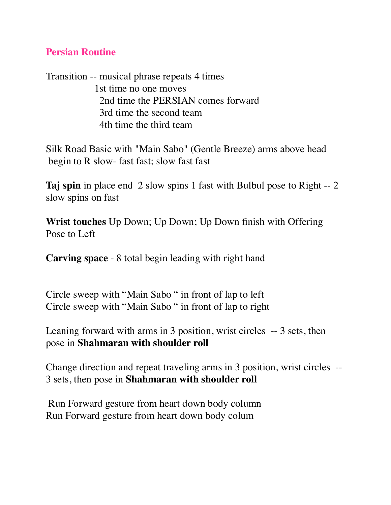## **Persian Routine**

Transition -- musical phrase repeats 4 times 1st time no one moves 2nd time the PERSIAN comes forward 3rd time the second team 4th time the third team

Silk Road Basic with "Main Sabo" (Gentle Breeze) arms above head begin to R slow- fast fast; slow fast fast

**Taj spin** in place end 2 slow spins 1 fast with Bulbul pose to Right -- 2 slow spins on fast

**Wrist touches** Up Down; Up Down; Up Down finish with Offering Pose to Left

**Carving space** - 8 total begin leading with right hand

Circle sweep with "Main Sabo " in front of lap to left Circle sweep with "Main Sabo " in front of lap to right

Leaning forward with arms in 3 position, wrist circles -- 3 sets, then pose in **Shahmaran with shoulder roll**

Change direction and repeat traveling arms in 3 position, wrist circles -- 3 sets, then pose in **Shahmaran with shoulder roll**

Run Forward gesture from heart down body column Run Forward gesture from heart down body colum